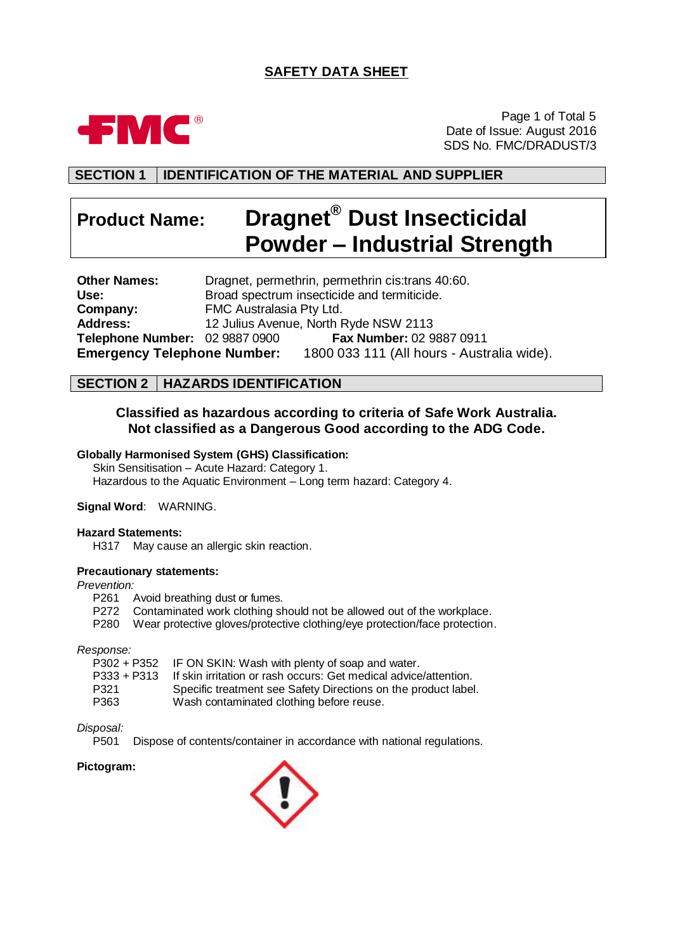# **SAFETY DATA SHEET**



Page 1 of Total 5 Date of Issue: August 2016 SDS No. FMC/DRADUST/3

# **SECTION 1 IDENTIFICATION OF THE MATERIAL AND SUPPLIER**

# **Product Name: Dragnet® Dust Insecticidal Powder – Industrial Strength**

**Other Names:** Dragnet, permethrin, permethrin cis:trans 40:60. Use: Broad spectrum insecticide and termiticide.<br> **Company:** FMC Australasia Pty Ltd. FMC Australasia Pty Ltd. **Address:** 12 Julius Avenue, North Ryde NSW 2113 **Telephone Number:** 02 9887 0900 **Fax Number:** 02 9887 0911 **Emergency Telephone Number:** 1800 033 111 (All hours - Australia wide).

# **SECTION 2 HAZARDS IDENTIFICATION**

# **Classified as hazardous according to criteria of Safe Work Australia. Not classified as a Dangerous Good according to the ADG Code.**

#### **Globally Harmonised System (GHS) Classification:**

Skin Sensitisation – Acute Hazard: Category 1. Hazardous to the Aquatic Environment – Long term hazard: Category 4.

#### **Signal Word**: WARNING.

#### **Hazard Statements:**

H317 May cause an allergic skin reaction.

#### **Precautionary statements:**

#### *Prevention:*

- P261 Avoid breathing dust or fumes.
- P272 Contaminated work clothing should not be allowed out of the workplace.
- P280 Wear protective gloves/protective clothing/eye protection/face protection.

#### *Response:*

| P302 + P352 IF ON SKIN: Wash with plenty of soap and water.      |
|------------------------------------------------------------------|
| If skin irritation or rash occurs: Get medical advice/attention. |
| Specific treatment see Safety Directions on the product label.   |
| Wash contaminated clothing before reuse.                         |
|                                                                  |

#### *Disposal:*

P501 Dispose of contents/container in accordance with national regulations.

#### **Pictogram:**

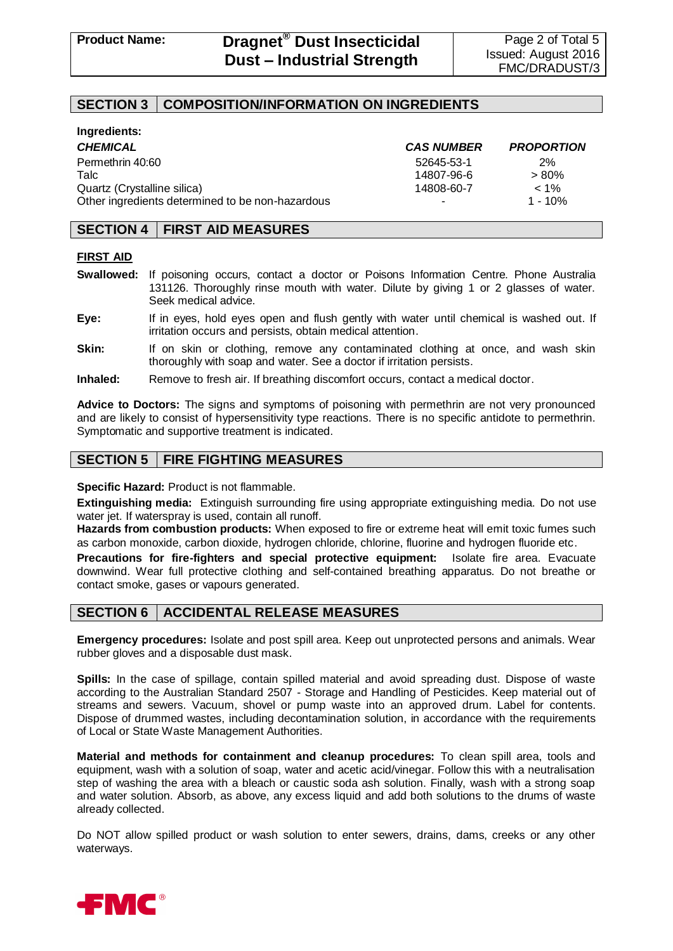# **SECTION 3 COMPOSITION/INFORMATION ON INGREDIENTS**

| Ingredients:                                     |                   |                   |
|--------------------------------------------------|-------------------|-------------------|
| <b>CHEMICAL</b>                                  | <b>CAS NUMBER</b> | <b>PROPORTION</b> |
| Permethrin 40:60                                 | 52645-53-1        | 2%                |
| Talc                                             | 14807-96-6        | $> 80\%$          |
| Quartz (Crystalline silica)                      | 14808-60-7        | $< 1\%$           |
| Other ingredients determined to be non-hazardous | ۰                 | $1 - 10\%$        |

# **SECTION 4 FIRST AID MEASURES**

#### **FIRST AID**

- **Swallowed:** If poisoning occurs, contact a doctor or Poisons Information Centre. Phone Australia 131126. Thoroughly rinse mouth with water. Dilute by giving 1 or 2 glasses of water. Seek medical advice.
- **Eye:** If in eyes, hold eyes open and flush gently with water until chemical is washed out. If irritation occurs and persists, obtain medical attention.
- **Skin:** If on skin or clothing, remove any contaminated clothing at once, and wash skin thoroughly with soap and water. See a doctor if irritation persists.
- **Inhaled:** Remove to fresh air. If breathing discomfort occurs, contact a medical doctor.

**Advice to Doctors:** The signs and symptoms of poisoning with permethrin are not very pronounced and are likely to consist of hypersensitivity type reactions. There is no specific antidote to permethrin. Symptomatic and supportive treatment is indicated.

# **SECTION 5 FIRE FIGHTING MEASURES**

**Specific Hazard:** Product is not flammable.

**Extinguishing media:** Extinguish surrounding fire using appropriate extinguishing media. Do not use water jet. If waterspray is used, contain all runoff.

**Hazards from combustion products:** When exposed to fire or extreme heat will emit toxic fumes such as carbon monoxide, carbon dioxide, hydrogen chloride, chlorine, fluorine and hydrogen fluoride etc.

**Precautions for fire-fighters and special protective equipment:** Isolate fire area. Evacuate downwind. Wear full protective clothing and self-contained breathing apparatus. Do not breathe or contact smoke, gases or vapours generated.

# **SECTION 6 ACCIDENTAL RELEASE MEASURES**

**Emergency procedures:** Isolate and post spill area. Keep out unprotected persons and animals. Wear rubber gloves and a disposable dust mask.

**Spills:** In the case of spillage, contain spilled material and avoid spreading dust. Dispose of waste according to the Australian Standard 2507 - Storage and Handling of Pesticides. Keep material out of streams and sewers. Vacuum, shovel or pump waste into an approved drum. Label for contents. Dispose of drummed wastes, including decontamination solution, in accordance with the requirements of Local or State Waste Management Authorities.

**Material and methods for containment and cleanup procedures:** To clean spill area, tools and equipment, wash with a solution of soap, water and acetic acid/vinegar. Follow this with a neutralisation step of washing the area with a bleach or caustic soda ash solution. Finally, wash with a strong soap and water solution. Absorb, as above, any excess liquid and add both solutions to the drums of waste already collected.

Do NOT allow spilled product or wash solution to enter sewers, drains, dams, creeks or any other waterways.

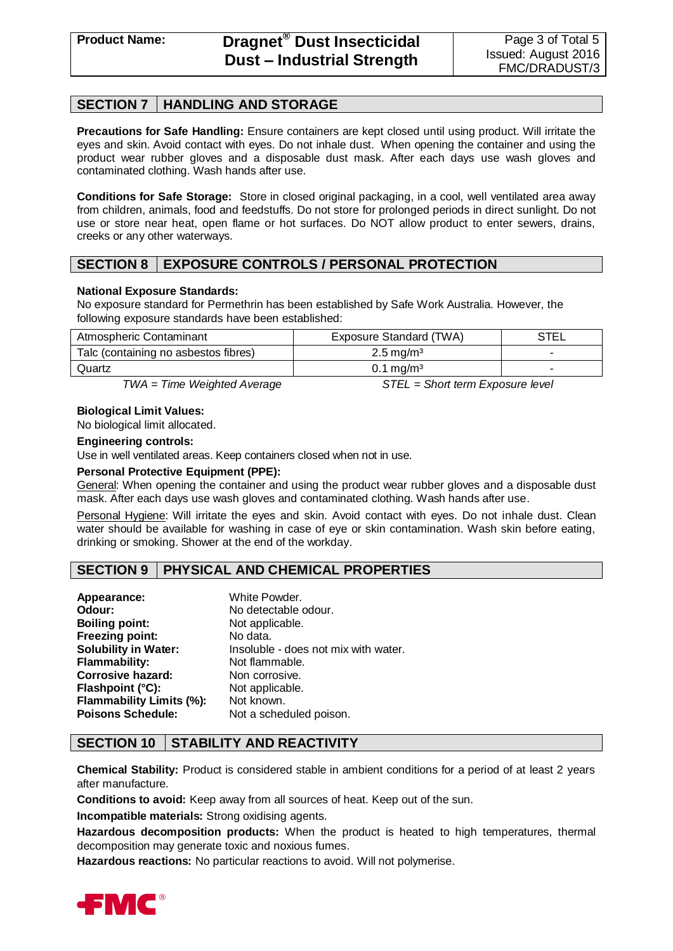# **SECTION 7 HANDLING AND STORAGE**

**Precautions for Safe Handling:** Ensure containers are kept closed until using product. Will irritate the eyes and skin. Avoid contact with eyes. Do not inhale dust. When opening the container and using the product wear rubber gloves and a disposable dust mask. After each days use wash gloves and contaminated clothing. Wash hands after use.

**Conditions for Safe Storage:** Store in closed original packaging, in a cool, well ventilated area away from children, animals, food and feedstuffs. Do not store for prolonged periods in direct sunlight. Do not use or store near heat, open flame or hot surfaces. Do NOT allow product to enter sewers, drains, creeks or any other waterways.

# **SECTION 8 EXPOSURE CONTROLS / PERSONAL PROTECTION**

#### **National Exposure Standards:**

No exposure standard for Permethrin has been established by Safe Work Australia. However, the following exposure standards have been established:

| Atmospheric Contaminant              | Exposure Standard (TWA) | <b>STEL</b> |
|--------------------------------------|-------------------------|-------------|
| Talc (containing no asbestos fibres) | $2.5 \,\mathrm{mg/m^3}$ |             |
| Quartz                               | $0.1 \,\mathrm{mq/m^3}$ |             |
| .                                    | ----                    |             |

*TWA = Time Weighted Average STEL = Short term Exposure level*

#### **Biological Limit Values:**

No biological limit allocated.

#### **Engineering controls:**

Use in well ventilated areas. Keep containers closed when not in use.

#### **Personal Protective Equipment (PPE):**

General: When opening the container and using the product wear rubber gloves and a disposable dust mask. After each days use wash gloves and contaminated clothing. Wash hands after use.

Personal Hygiene: Will irritate the eyes and skin. Avoid contact with eyes. Do not inhale dust. Clean water should be available for washing in case of eye or skin contamination. Wash skin before eating, drinking or smoking. Shower at the end of the workday.

# **SECTION 9 PHYSICAL AND CHEMICAL PROPERTIES**

| Appearance:                 | White Powder.                        |
|-----------------------------|--------------------------------------|
| Odour:                      | No detectable odour.                 |
| <b>Boiling point:</b>       | Not applicable.                      |
| <b>Freezing point:</b>      | No data.                             |
| <b>Solubility in Water:</b> | Insoluble - does not mix with water. |
| <b>Flammability:</b>        | Not flammable.                       |
| <b>Corrosive hazard:</b>    | Non corrosive.                       |
| Flashpoint (°C):            | Not applicable.                      |
| Flammability Limits (%):    | Not known.                           |
| <b>Poisons Schedule:</b>    | Not a scheduled poison.              |

# **SECTION 10 STABILITY AND REACTIVITY**

**Chemical Stability:** Product is considered stable in ambient conditions for a period of at least 2 years after manufacture.

**Conditions to avoid:** Keep away from all sources of heat. Keep out of the sun.

**Incompatible materials:** Strong oxidising agents.

**Hazardous decomposition products:** When the product is heated to high temperatures, thermal decomposition may generate toxic and noxious fumes.

**Hazardous reactions:** No particular reactions to avoid. Will not polymerise.

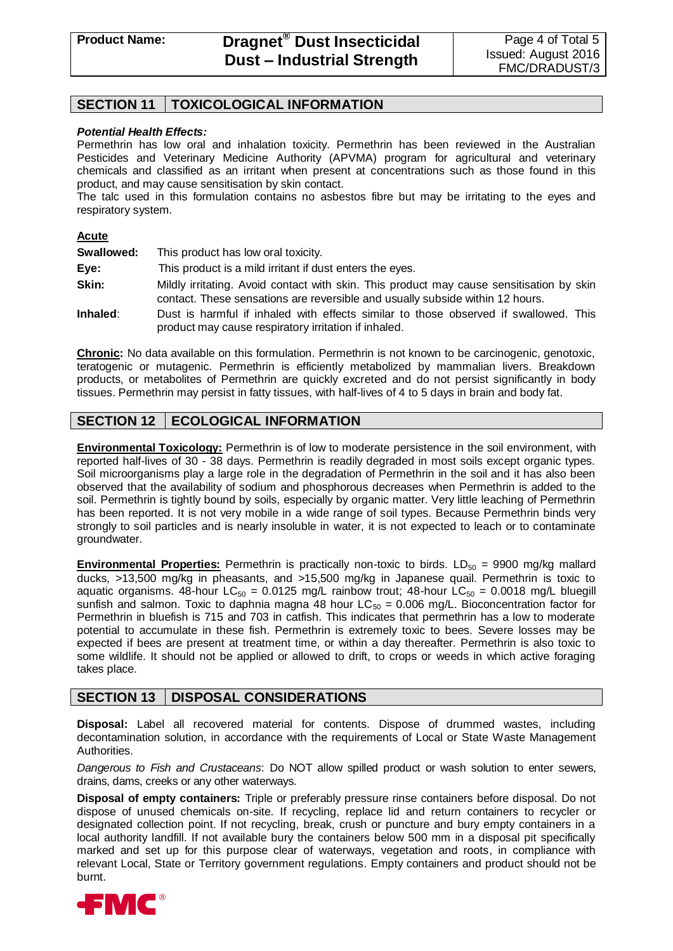# **SECTION 11 TOXICOLOGICAL INFORMATION**

#### *Potential Health Effects:*

Permethrin has low oral and inhalation toxicity. Permethrin has been reviewed in the Australian Pesticides and Veterinary Medicine Authority (APVMA) program for agricultural and veterinary chemicals and classified as an irritant when present at concentrations such as those found in this product, and may cause sensitisation by skin contact.

The talc used in this formulation contains no asbestos fibre but may be irritating to the eyes and respiratory system.

#### **Acute**

**Swallowed:** This product has low oral toxicity. **Eye:** This product is a mild irritant if dust enters the eyes. **Skin:** Mildly irritating. Avoid contact with skin. This product may cause sensitisation by skin contact. These sensations are reversible and usually subside within 12 hours. **Inhaled**: Dust is harmful if inhaled with effects similar to those observed if swallowed. This

product may cause respiratory irritation if inhaled.

**Chronic:** No data available on this formulation. Permethrin is not known to be carcinogenic, genotoxic, teratogenic or mutagenic. Permethrin is efficiently metabolized by mammalian livers. Breakdown products, or metabolites of Permethrin are quickly excreted and do not persist significantly in body tissues. Permethrin may persist in fatty tissues, with half-lives of 4 to 5 days in brain and body fat.

# **SECTION 12 ECOLOGICAL INFORMATION**

**Environmental Toxicology:** Permethrin is of low to moderate persistence in the soil environment, with reported half-lives of 30 - 38 days. Permethrin is readily degraded in most soils except organic types. Soil microorganisms play a large role in the degradation of Permethrin in the soil and it has also been observed that the availability of sodium and phosphorous decreases when Permethrin is added to the soil. Permethrin is tightly bound by soils, especially by organic matter. Very little leaching of Permethrin has been reported. It is not very mobile in a wide range of soil types. Because Permethrin binds very strongly to soil particles and is nearly insoluble in water, it is not expected to leach or to contaminate groundwater.

**Environmental Properties:** Permethrin is practically non-toxic to birds. LD<sub>50</sub> = 9900 mg/kg mallard ducks, >13,500 mg/kg in pheasants, and >15,500 mg/kg in Japanese quail. Permethrin is toxic to aquatic organisms. 48-hour LC<sub>50</sub> = 0.0125 mg/L rainbow trout; 48-hour LC<sub>50</sub> = 0.0018 mg/L bluegill sunfish and salmon. Toxic to daphnia magna 48 hour  $LC_{50} = 0.006$  mg/L. Bioconcentration factor for Permethrin in bluefish is 715 and 703 in catfish. This indicates that permethrin has a low to moderate potential to accumulate in these fish. Permethrin is extremely toxic to bees. Severe losses may be expected if bees are present at treatment time, or within a day thereafter. Permethrin is also toxic to some wildlife. It should not be applied or allowed to drift, to crops or weeds in which active foraging takes place.

# **SECTION 13 DISPOSAL CONSIDERATIONS**

**Disposal:** Label all recovered material for contents. Dispose of drummed wastes, including decontamination solution, in accordance with the requirements of Local or State Waste Management Authorities.

*Dangerous to Fish and Crustaceans*: Do NOT allow spilled product or wash solution to enter sewers, drains, dams, creeks or any other waterways.

**Disposal of empty containers:** Triple or preferably pressure rinse containers before disposal. Do not dispose of unused chemicals on-site. If recycling, replace lid and return containers to recycler or designated collection point. If not recycling, break, crush or puncture and bury empty containers in a local authority landfill. If not available bury the containers below 500 mm in a disposal pit specifically marked and set up for this purpose clear of waterways, vegetation and roots, in compliance with relevant Local, State or Territory government regulations. Empty containers and product should not be burnt.